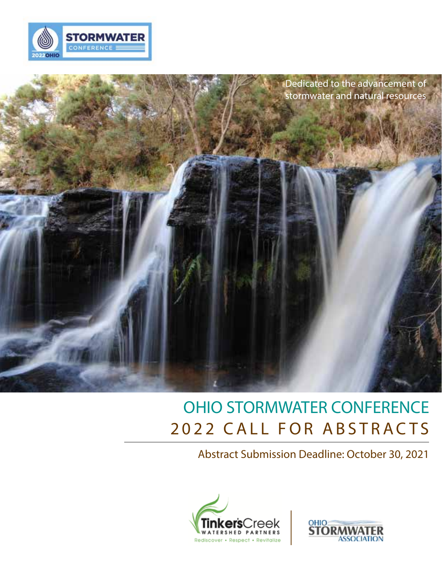



## 2022 CALL FOR ABSTRACTS OHIO STORMWATER CONFERENCE

Abstract Submission Deadline: October 30, 2021



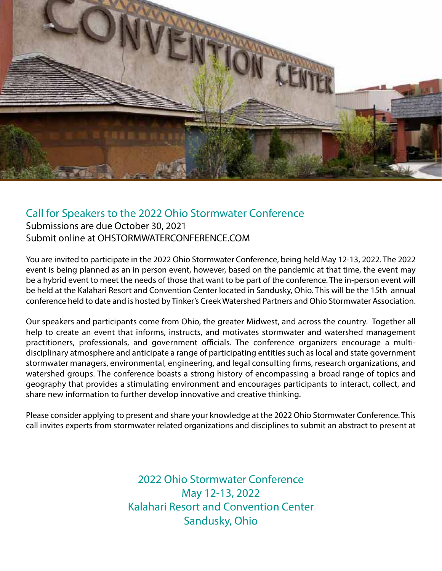

## Call for Speakers to the 2022 Ohio Stormwater Conference

Submissions are due October 30, 2021 Submit online at OHSTORMWATERCONFERENCE.COM

You are invited to participate in the 2022 Ohio Stormwater Conference, being held May 12-13, 2022. The 2022 event is being planned as an in person event, however, based on the pandemic at that time, the event may be a hybrid event to meet the needs of those that want to be part of the conference. The in-person event will be held at the Kalahari Resort and Convention Center located in Sandusky, Ohio. This will be the 15th annual conference held to date and is hosted by Tinker's Creek Watershed Partners and Ohio Stormwater Association.

Our speakers and participants come from Ohio, the greater Midwest, and across the country. Together all help to create an event that informs, instructs, and motivates stormwater and watershed management practitioners, professionals, and government officials. The conference organizers encourage a multidisciplinary atmosphere and anticipate a range of participating entities such as local and state government stormwater managers, environmental, engineering, and legal consulting firms, research organizations, and watershed groups. The conference boasts a strong history of encompassing a broad range of topics and geography that provides a stimulating environment and encourages participants to interact, collect, and share new information to further develop innovative and creative thinking.

Please consider applying to present and share your knowledge at the 2022 Ohio Stormwater Conference. This call invites experts from stormwater related organizations and disciplines to submit an abstract to present at

> 2022 Ohio Stormwater Conference May 12-13, 2022 Kalahari Resort and Convention Center Sandusky, Ohio